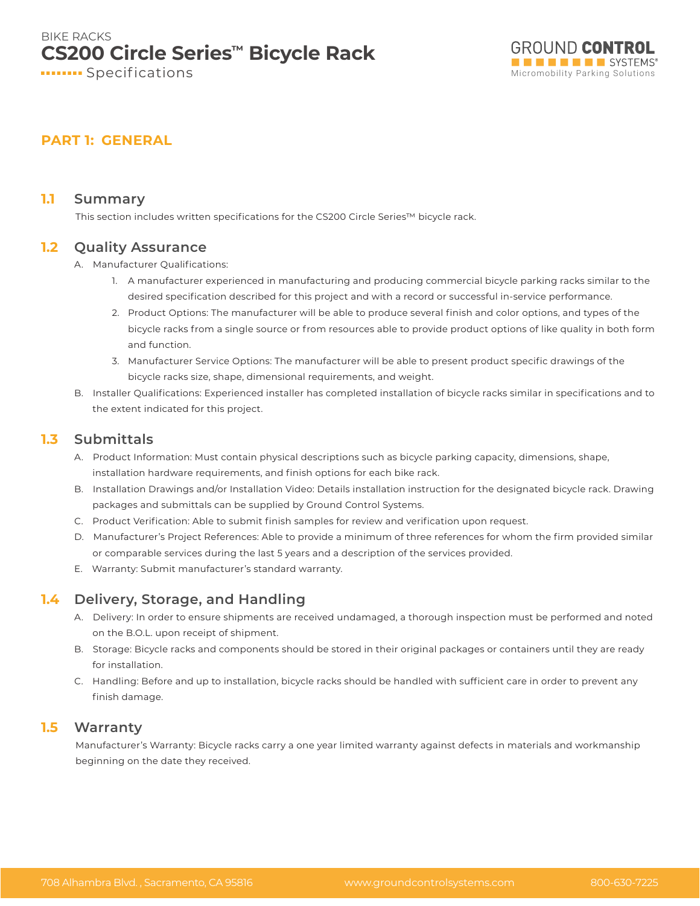

## **PART 1: GENERAL**

#### **1.1 Summary**

This section includes written specifications for the CS200 Circle Series™ bicycle rack.

#### **1.2 Quality Assurance**

- A. Manufacturer Qualifications:
	- 1. A manufacturer experienced in manufacturing and producing commercial bicycle parking racks similar to the desired specification described for this project and with a record or successful in-service performance.
	- 2. Product Options: The manufacturer will be able to produce several finish and color options, and types of the bicycle racks from a single source or from resources able to provide product options of like quality in both form and function.
	- 3. Manufacturer Service Options: The manufacturer will be able to present product specific drawings of the bicycle racks size, shape, dimensional requirements, and weight.
- B. Installer Qualifications: Experienced installer has completed installation of bicycle racks similar in specifications and to the extent indicated for this project.

### **1.3 Submittals**

- A. Product Information: Must contain physical descriptions such as bicycle parking capacity, dimensions, shape, installation hardware requirements, and finish options for each bike rack.
- B. Installation Drawings and/or Installation Video: Details installation instruction for the designated bicycle rack. Drawing packages and submittals can be supplied by Ground Control Systems.
- C. Product Verification: Able to submit finish samples for review and verification upon request.
- D. Manufacturer's Project References: Able to provide a minimum of three references for whom the firm provided similar or comparable services during the last 5 years and a description of the services provided.
- E. Warranty: Submit manufacturer's standard warranty.

#### **1.4 Delivery, Storage, and Handling**

- A. Delivery: In order to ensure shipments are received undamaged, a thorough inspection must be performed and noted on the B.O.L. upon receipt of shipment.
- B. Storage: Bicycle racks and components should be stored in their original packages or containers until they are ready for installation.
- C. Handling: Before and up to installation, bicycle racks should be handled with sufficient care in order to prevent any finish damage.

## **1.5 Warranty**

Manufacturer's Warranty: Bicycle racks carry a one year limited warranty against defects in materials and workmanship beginning on the date they received.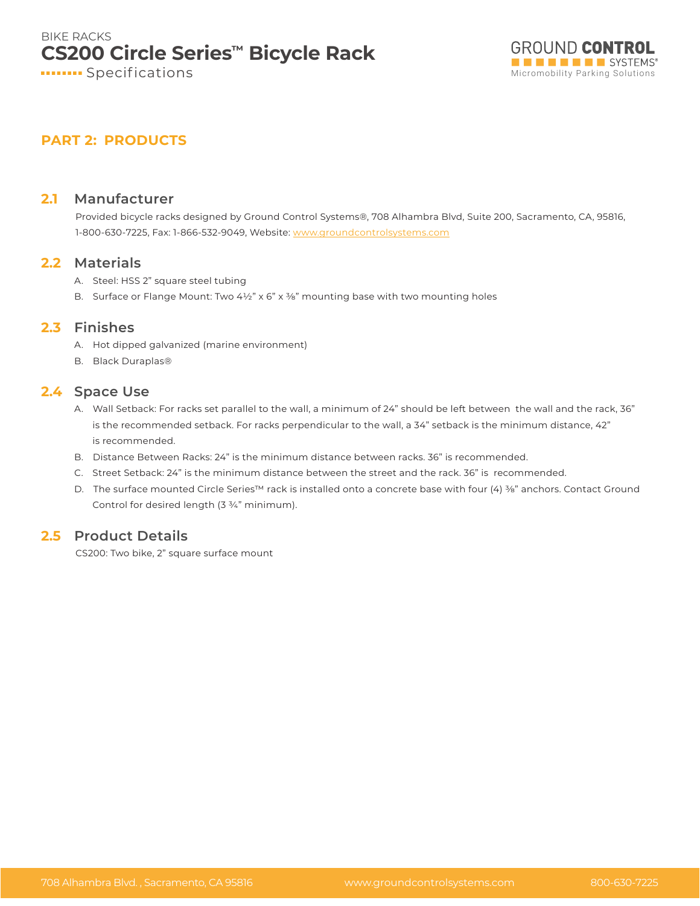

# **PART 2: PRODUCTS**

#### **2.1 Manufacturer**

Provided bicycle racks designed by Ground Control Systems®, 708 Alhambra Blvd, Suite 200, Sacramento, CA, 95816, 1-800-630-7225, Fax: 1-866-532-9049, Website: www.groundcontrolsystems.com

#### **2.2 Materials**

- A. Steel: HSS 2" square steel tubing
- B. Surface or Flange Mount: Two  $4\frac{1}{2}$ " x 6" x 3%" mounting base with two mounting holes

### **2.3 Finishes**

- A. Hot dipped galvanized (marine environment)
- B. Black Duraplas®

#### **2.4 Space Use**

- A. Wall Setback: For racks set parallel to the wall, a minimum of 24" should be left between the wall and the rack, 36" is the recommended setback. For racks perpendicular to the wall, a 34" setback is the minimum distance, 42" is recommended.
- B. Distance Between Racks: 24" is the minimum distance between racks. 36" is recommended.
- C. Street Setback: 24" is the minimum distance between the street and the rack. 36" is recommended.
- D. The surface mounted Circle Series™ rack is installed onto a concrete base with four (4) ¾" anchors. Contact Ground Control for desired length (3 ¾" minimum).

## **2.5 Product Details**

CS200: Two bike, 2" square surface mount